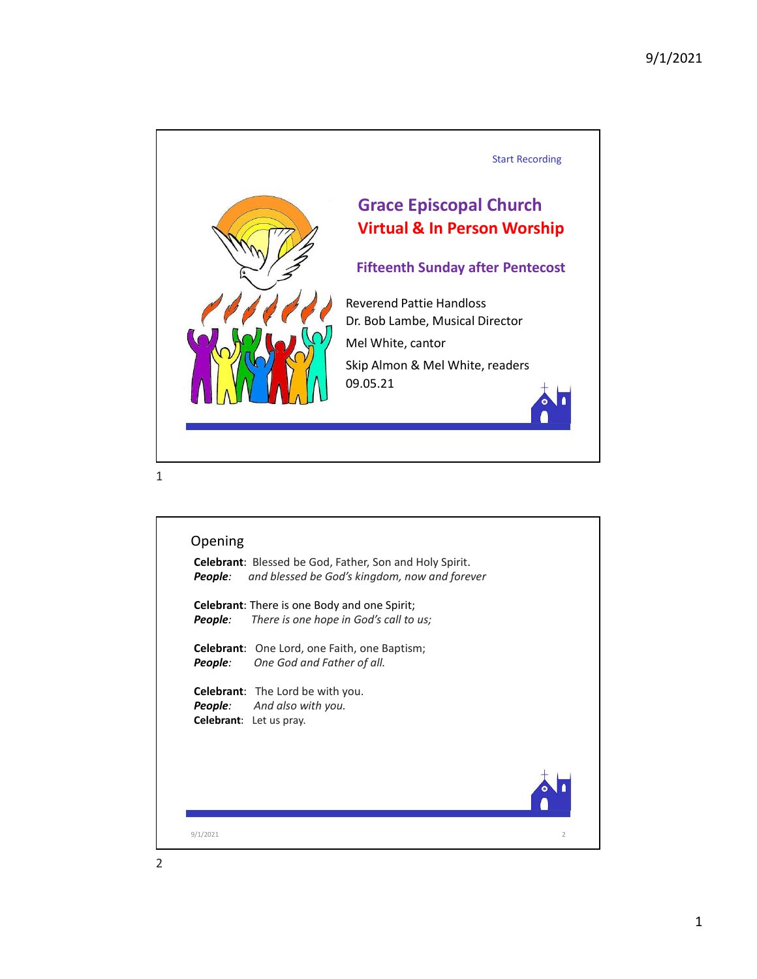

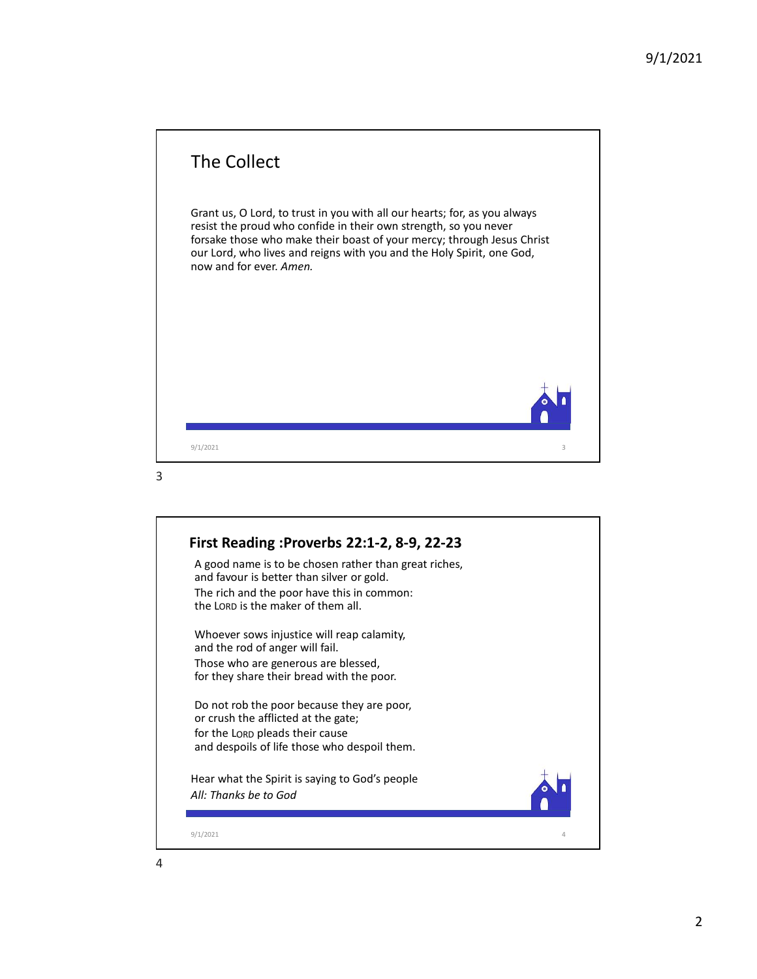

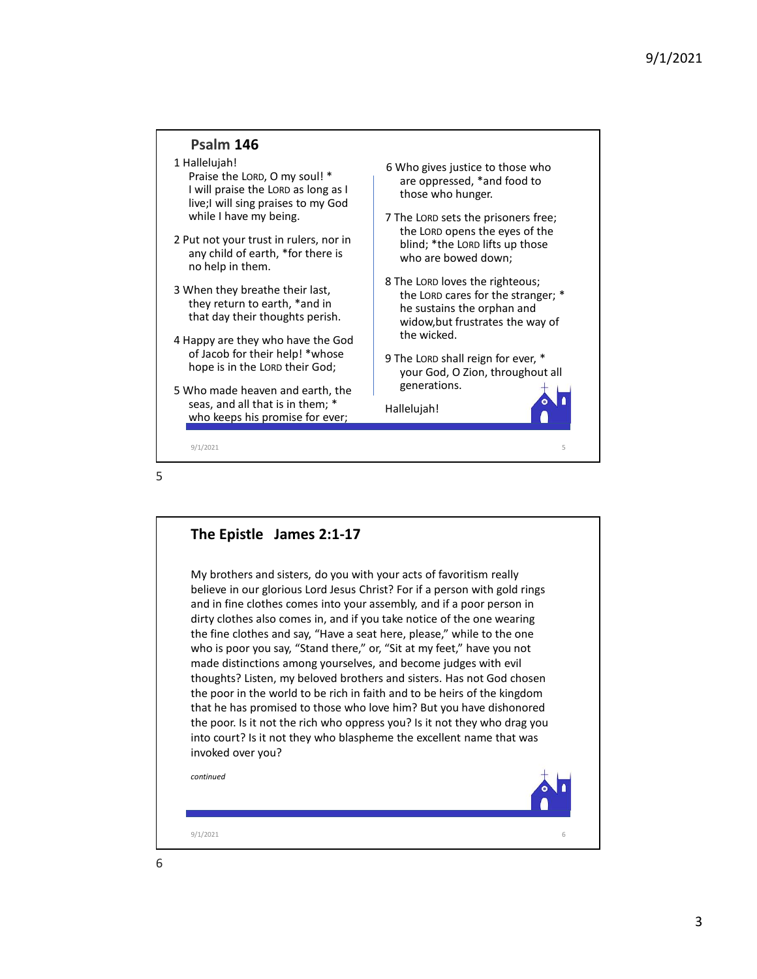

## $5<sub>5</sub>$

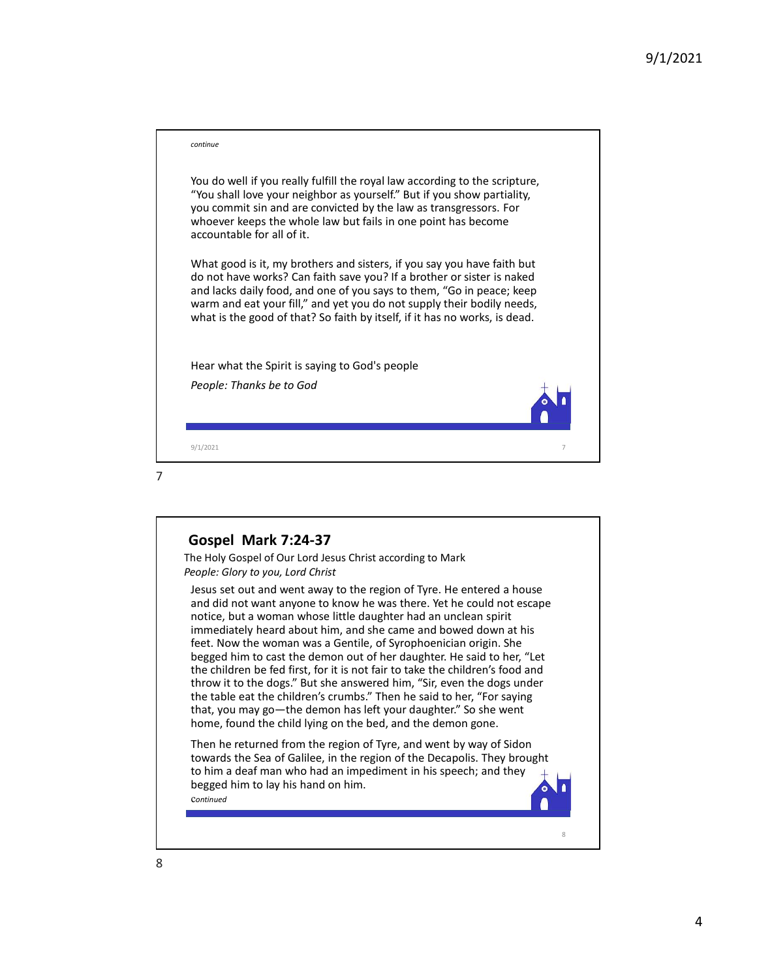

## Gospel Mark 7:24-37

The Holy Gospel of Our Lord Jesus Christ according to Mark People: Glory to you, Lord Christ

Jesus set out and went away to the region of Tyre. He entered a house and did not want anyone to know he was there. Yet he could not escape notice, but a woman whose little daughter had an unclean spirit immediately heard about him, and she came and bowed down at his feet. Now the woman was a Gentile, of Syrophoenician origin. She begged him to cast the demon out of her daughter. He said to her, "Let the children be fed first, for it is not fair to take the children's food and throw it to the dogs." But she answered him, "Sir, even the dogs under the table eat the children's crumbs." Then he said to her, "For saying that, you may go—the demon has left your daughter." So she went home, found the child lying on the bed, and the demon gone.

Then he returned from the region of Tyre, and went by way of Sidon towards the Sea of Galilee, in the region of the Decapolis. They brought to him a deaf man who had an impediment in his speech; and they begged him to lay his hand on him. continued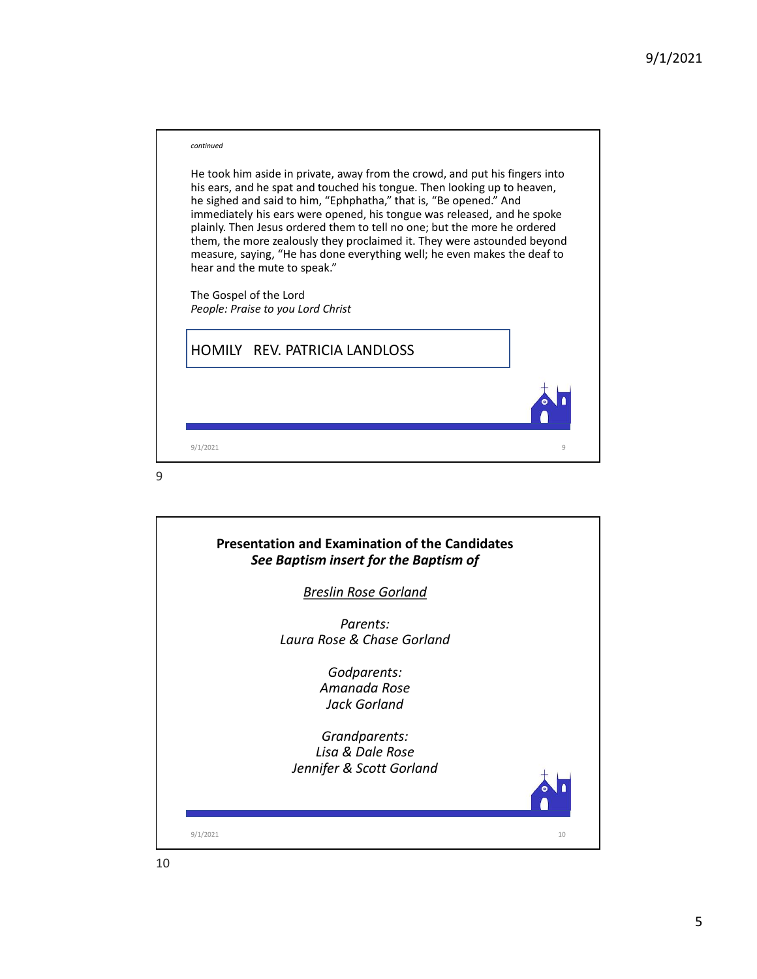| continued                                                                                                                                                                                                                                                                                                                                                                                                                                                                                                                                                                  |
|----------------------------------------------------------------------------------------------------------------------------------------------------------------------------------------------------------------------------------------------------------------------------------------------------------------------------------------------------------------------------------------------------------------------------------------------------------------------------------------------------------------------------------------------------------------------------|
| He took him aside in private, away from the crowd, and put his fingers into<br>his ears, and he spat and touched his tongue. Then looking up to heaven,<br>he sighed and said to him, "Ephphatha," that is, "Be opened." And<br>immediately his ears were opened, his tongue was released, and he spoke<br>plainly. Then Jesus ordered them to tell no one; but the more he ordered<br>them, the more zealously they proclaimed it. They were astounded beyond<br>measure, saying, "He has done everything well; he even makes the deaf to<br>hear and the mute to speak." |
| The Gospel of the Lord                                                                                                                                                                                                                                                                                                                                                                                                                                                                                                                                                     |
| People: Praise to you Lord Christ                                                                                                                                                                                                                                                                                                                                                                                                                                                                                                                                          |
| HOMILY REV. PATRICIA LANDLOSS                                                                                                                                                                                                                                                                                                                                                                                                                                                                                                                                              |
|                                                                                                                                                                                                                                                                                                                                                                                                                                                                                                                                                                            |
| 9/1/2021<br>9                                                                                                                                                                                                                                                                                                                                                                                                                                                                                                                                                              |
|                                                                                                                                                                                                                                                                                                                                                                                                                                                                                                                                                                            |
|                                                                                                                                                                                                                                                                                                                                                                                                                                                                                                                                                                            |
|                                                                                                                                                                                                                                                                                                                                                                                                                                                                                                                                                                            |

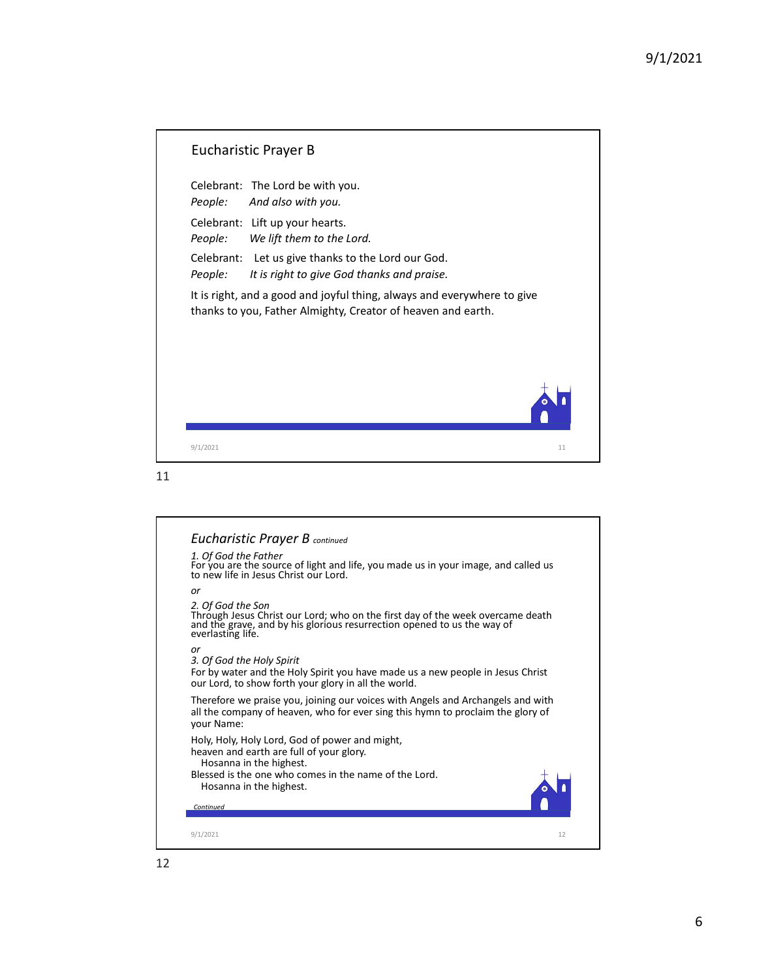|                                                                                                                                         | 9/1/2021 |
|-----------------------------------------------------------------------------------------------------------------------------------------|----------|
|                                                                                                                                         |          |
| Eucharistic Prayer B                                                                                                                    |          |
| Celebrant: The Lord be with you.<br>And also with you.<br>People:                                                                       |          |
| Celebrant: Lift up your hearts.<br>We lift them to the Lord.<br>People:                                                                 |          |
| Celebrant: Let us give thanks to the Lord our God.<br>It is right to give God thanks and praise.<br>People:                             |          |
| It is right, and a good and joyful thing, always and everywhere to give<br>thanks to you, Father Almighty, Creator of heaven and earth. |          |
|                                                                                                                                         |          |
|                                                                                                                                         |          |
| 9/1/2021<br>11                                                                                                                          |          |
|                                                                                                                                         |          |
| Eucharictic Drawer D                                                                                                                    |          |
|                                                                                                                                         |          |



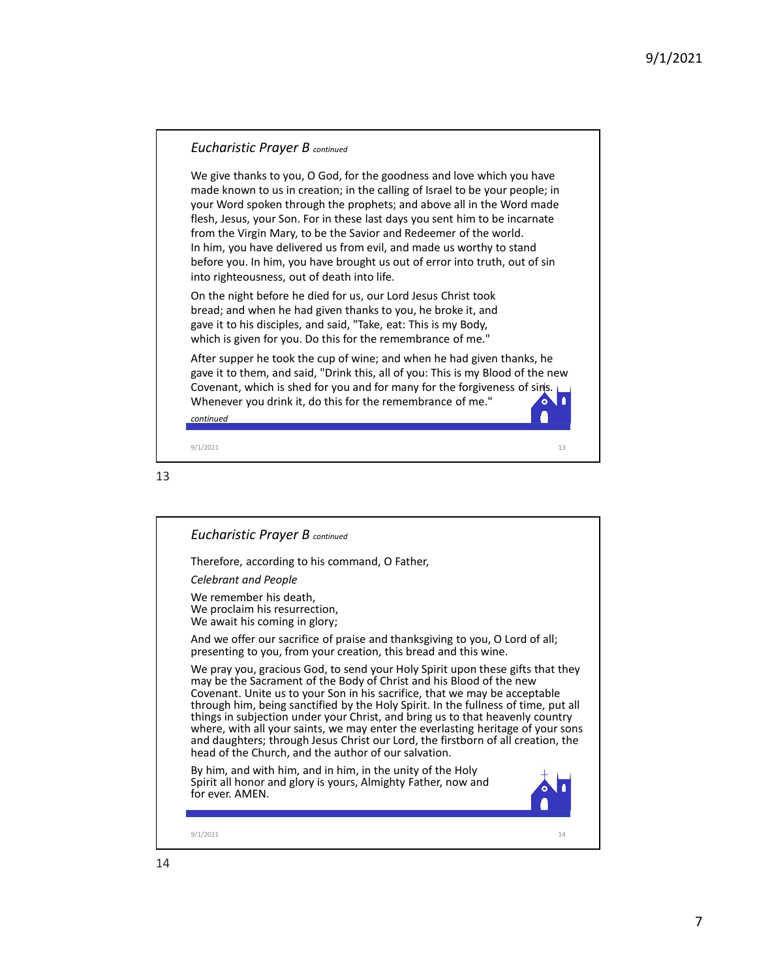

We give thanks to you, O God, for the goodness and love which you have made known to us in creation; in the calling of Israel to be your people; in your Word spoken through the prophets; and above all in the Word made flesh, Jesus, your Son. For in these last days you sent him to be incarnate from the Virgin Mary, to be the Savior and Redeemer of the world. In him, you have delivered us from evil, and made us worthy to stand before you. In him, you have brought us out of error into truth, out of sin into righteousness, out of death into life. Eucharistic Prayer B  $\alpha$ <sup>1</sup> and the goodness and love which you have we give thanks to you, O God, for the goodness and love which you have in eaction; in the caliting of israel to be your people; in your word space to b

On the night before he died for us, our Lord Jesus Christ took bread; and when he had given thanks to you, he broke it, and gave it to his disciples, and said, "Take, eat: This is my Body, which is given for you. Do this for the remembrance of me."

After supper he took the cup of wine; and when he had given thanks, he gave it to them, and said, "Drink this, all of you: This is my Blood of the new Covenant, which is shed for you and for many for the forgiveness of sins. Whenever you drink it, do this for the remembrance of me."

## continued

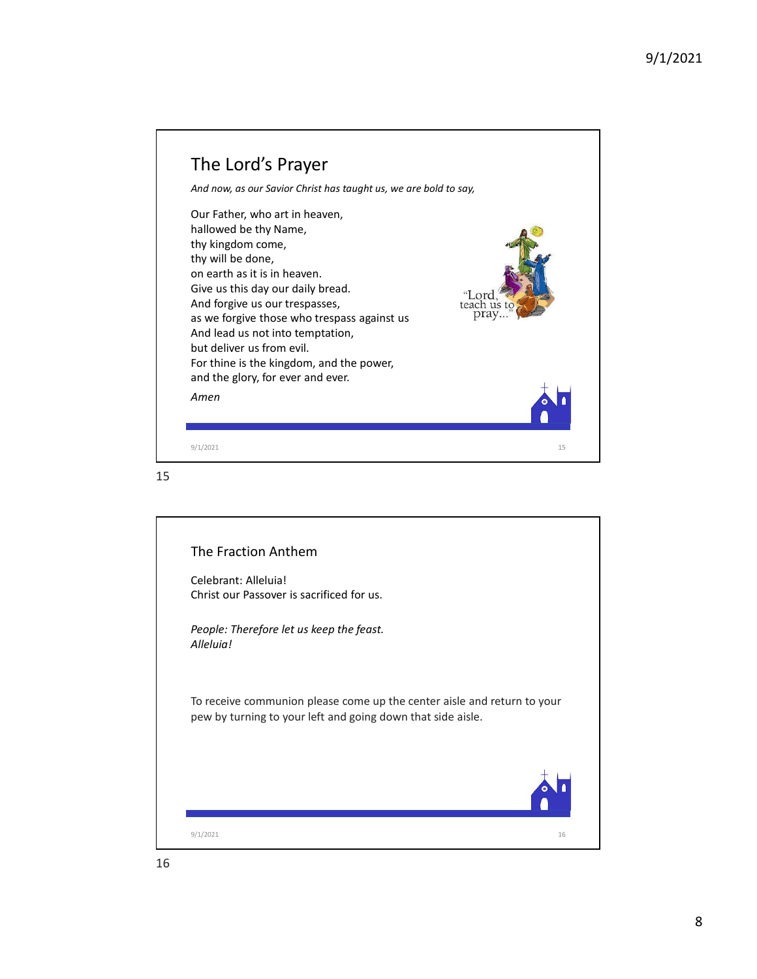



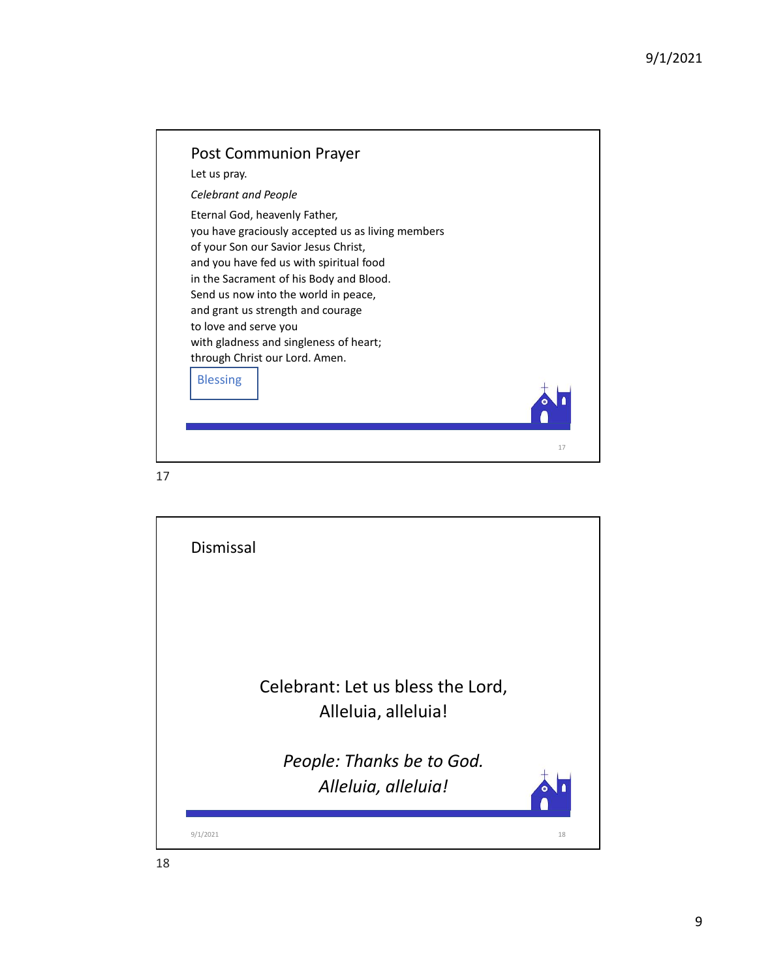

17

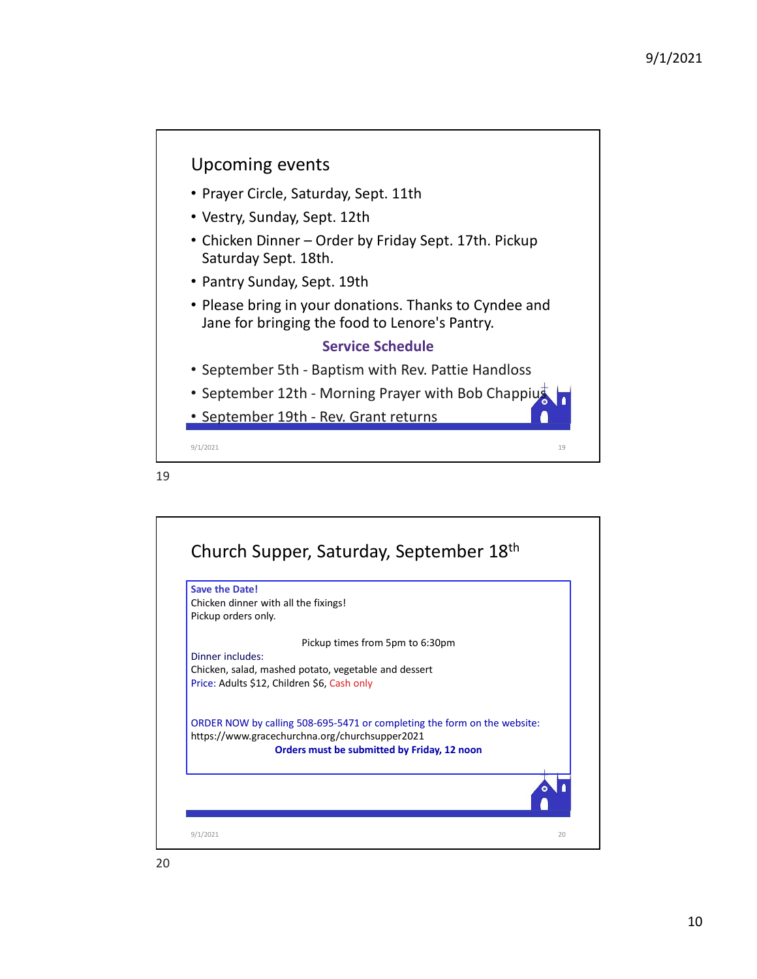